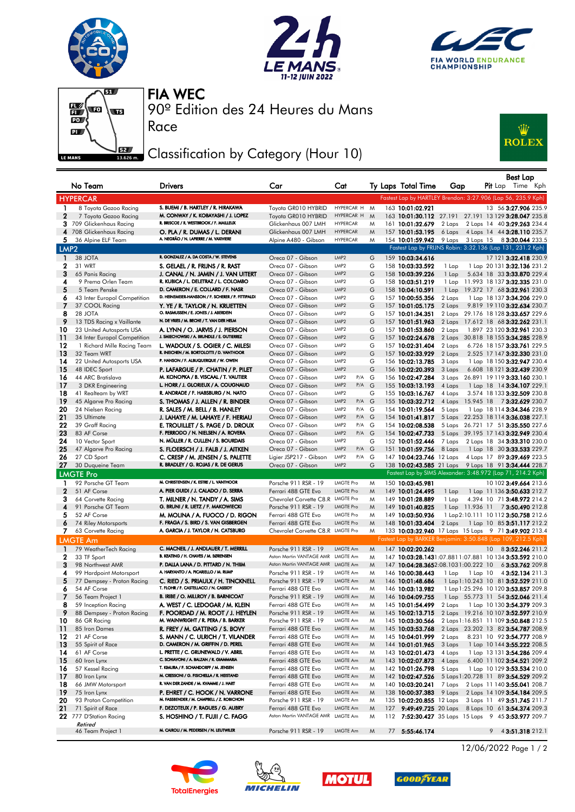







Race

90º Edition des 24 Heures du Mans FIA WEC

## Classification by Category (Hour 10)



|                  | No Team                                     | Drivers                                                                       | Car                                                                    | Cat                                        |        |     | Ty Laps Total Time                                            | Gap                                          |                                                            | $P$ it Lap | Best Lap | Time Kph                                                   |
|------------------|---------------------------------------------|-------------------------------------------------------------------------------|------------------------------------------------------------------------|--------------------------------------------|--------|-----|---------------------------------------------------------------|----------------------------------------------|------------------------------------------------------------|------------|----------|------------------------------------------------------------|
|                  | <b>HYPERCAR</b>                             |                                                                               |                                                                        |                                            |        |     | Fastest Lap by HARTLEY Brendon: 3:27.906 (Lap 56, 235.9 Kph)  |                                              |                                                            |            |          |                                                            |
| 1                | 8 Toyota Gazoo Racing                       | S. BUEMI / B. HARTLEY / R. HIRAKAWA                                           | Toyota GR010 HYBRID                                                    | HYPERCAR H                                 | M      |     | 163 10:01:02.921                                              |                                              |                                                            |            |          | 13 56 3:27.906 235.9                                       |
| $\mathbf{2}$     | 7 Toyota Gazoo Racing                       | M. CONWAY / K. KOBAYASHI / J. LOPEZ                                           | Toyota GR010 HYBRID                                                    | HYPERCAR H                                 | M      |     | 163 10:01:30.112 27.191 27.191 13 129 3:28.047 235.8          |                                              |                                                            |            |          |                                                            |
|                  | 3 709 Glickenhaus Racing                    | R. BRISCOE / R. WESTBROOK / F. MAILLEUX                                       | Glickenhaus 007 LMH                                                    | <b>HYPERCAR</b>                            | M      |     | 161 10:01:32.679                                              | 2 Laps                                       | 2 Laps 14 40 3:29.263 234.4                                |            |          |                                                            |
|                  | 4 708 Glickenhaus Racing                    | O. PLA / R. DUMAS / L. DERANI                                                 | Glickenhaus 007 LMH                                                    | <b>HYPERCAR</b>                            | M      |     | 157 10:01:53.195                                              | 6 Laps                                       | 4 Laps 14 44 3:28.110 235.7                                |            |          |                                                            |
| 5.               | 36 Alpine ELF Team                          | A. NEGRÃO / N. LAPIERRE / M. VAXIVIERE                                        | Alpine A480 - Gibson                                                   | <b>HYPERCAR</b>                            | M      |     | 154 10:01:59.942                                              | 9 Laps 3 Laps 15 8 3:30.044 233.5            |                                                            |            |          |                                                            |
| LMP <sub>2</sub> |                                             |                                                                               |                                                                        |                                            |        |     | Fastest Lap by FRIJNS Robin: 3:32.136 (Lap 131, 231.2 Kph)    |                                              |                                                            |            |          |                                                            |
| -1               | 38 JOTA                                     | R. GONZALEZ / A. DA COSTA / W. STEVENS                                        | Oreca 07 - Gibson                                                      | LMP2                                       | G      |     | 159 10:03:34.616                                              |                                              |                                                            |            |          | 17 121 3:32.418 230.9                                      |
| $\mathbf{2}$     | 31 WRT                                      | S. GELAEL / R. FRIJNS / R. RAST                                               | Oreca 07 - Gibson                                                      | LMP <sub>2</sub><br>LMP <sub>2</sub>       | G      |     | 158 10:03:33.592                                              | 1 Lap                                        | 1 Lap 20 131 3:32.136 231.2                                |            |          |                                                            |
| 3<br>4           | 65 Panis Racing<br>9 Prema Orlen Team       | J. CANAL / N. JAMIN / J. VAN UITERT<br>R. KUBICA / L. DELETRAZ / L. COLOMBO   | Oreca 07 - Gibson<br>Oreca 07 - Gibson                                 | LMP2                                       | G<br>G |     | 158 10:03:39.226<br>158 10:03:51.219                          | 1 Lap<br>1 Lap                               | 5.634 18 33 3:33.870 229.4<br>11.993 18 137 3:32.335 231.0 |            |          |                                                            |
| 5                | 5 Team Penske                               | D. CAMERON / E. COLLARD / F. NASR                                             | Oreca 07 - Gibson                                                      | LMP <sub>2</sub>                           | G      |     | 158 10:04:10.591                                              | 1 Lap                                        | 19.372 17 68 3:32.961 230.3                                |            |          |                                                            |
| 6                | 43 Inter Europol Competition                | D. HEINEMEIER-HANSSON / F. SCHERER / P. FITTIPALDI                            | Oreca 07 - Gibson                                                      | LMP2                                       | G      |     | 157 10:00:55.356                                              | 2 Laps                                       |                                                            |            |          | 1 Lap 18 137 3:34.206 229.0                                |
| 7                | 37 COOL Racing                              | Y. YE / R. TAYLOR / N. KRUETTEN                                               | Oreca 07 - Gibson                                                      | LMP <sub>2</sub>                           | G      |     | 157 10:01:05.175                                              | 2 Laps                                       | 9.819 19 110 3:32.634 230.7                                |            |          |                                                            |
| 8                | 28 JOTA                                     | O. RASMUSSEN / E. JONES / J. ABERDEIN                                         | Oreca 07 - Gibson                                                      | LMP2                                       | G      |     | 157 10:01:34.351                                              | 2 Laps                                       | 29.176 18 128 3:33.657 229.6                               |            |          |                                                            |
| 9                | 13 TDS Racing x Vaillante                   | N. DE VRIES / M. BECHE / T. VAN DER HELM                                      | Oreca 07 - Gibson                                                      | LMP2                                       | G      |     | 157 10:01:51.963                                              | 2 Laps                                       | 17.612 18 68 3:32.262 231.1                                |            |          |                                                            |
| 10               | 23 United Autosports USA                    | A. LYNN / O. JARVIS / J. PIERSON                                              | Oreca 07 - Gibson                                                      | LMP <sub>2</sub>                           | G      |     | 157 10:01:53.860                                              | 2 Laps                                       | 1.897 23 120 3:32.961 230.3                                |            |          |                                                            |
| 11               | 34 Inter Europol Competition                | J. SMIECHOWSKI / A. BRUNDLE / E. GUTIERREZ                                    | Oreca 07 - Gibson                                                      | LMP <sub>2</sub>                           | G      |     | 157 10:02:24.678                                              | 2 Laps                                       | 30.818 18 155 3:34.285 228.9                               |            |          |                                                            |
| 12               | 1 Richard Mille Racing Team                 | L. WADOUX / S. OGIER / C. MILESI<br>R. INEICHEN / M. BORTOLOTTI / D. VANTHOOR | Oreca 07 - Gibson                                                      | LMP2                                       | G      |     | 157 10:02:31.404                                              | 2 Laps                                       | 6.726 18 157 3:33.761 229.5                                |            |          |                                                            |
| 13<br>14         | 32 Team WRT                                 | P. HANSON / F. ALBUQUERQUE / W. OWEN                                          | Oreca 07 - Gibson                                                      | LMP <sub>2</sub><br>LMP <sub>2</sub>       | G      |     | 157 10:02:33.929                                              | 2 Laps                                       | 2.525 17 147 3:32.330 231.0                                |            |          |                                                            |
| 15               | 22 United Autosports USA<br>48 IDEC Sport   | P. LAFARGUE / P. CHATIN / P. PILET                                            | Oreca 07 - Gibson<br>Oreca 07 - Gibson                                 | LMP <sub>2</sub>                           | G<br>G |     | 156 10:02:13.785<br>156 10:02:20.393                          | 3 Laps<br>3 Laps                             | 1 Lap 18 150 3:32.947 230.4<br>6.608 18 121 3:32.439 230.9 |            |          |                                                            |
| 16               | 44 ARC Bratislava                           | M. KONOPKA / B. VISCAAL / T. VAUTIER                                          | Oreca 07 - Gibson                                                      | P/A<br>LMP2                                | G      |     | 156 10:02:47.284                                              | 3 Laps                                       | 26.891 19 119 3:33.160 230.1                               |            |          |                                                            |
| 17               | 3 DKR Engineering                           | L. HORR / J. GLORIEUX / A. COUGNAUD                                           | Oreca 07 - Gibson                                                      | LMP <sub>2</sub><br>P/A G                  |        |     | 155 10:03:13.193                                              | 4 Laps                                       | 1 Lap 18 14 3:34.107 229.1                                 |            |          |                                                            |
| 18               | 41 Realteam by WRT                          | R. ANDRADE / F. HABSBURG / N. NATO                                            | Oreca 07 - Gibson                                                      | LMP <sub>2</sub>                           | G      |     | 155 10:03:16.767                                              | 4 Laps                                       | 3.574 18 133 3:32.509 230.8                                |            |          |                                                            |
| 19               | 45 Algarve Pro Racing                       | S. THOMAS / J. ALLEN / R. BINDER                                              | Oreca 07 - Gibson                                                      | LMP <sub>2</sub><br>P/A G                  |        |     | 155 10:03:32.712                                              | 4 Laps                                       | 15.945 18 73:32.629 230.7                                  |            |          |                                                            |
| 20               | 24 Nielsen Racing                           | R. SALES / M. BELL / B. HANLEY                                                | Oreca 07 - Gibson                                                      | LMP2<br>P/A G                              |        |     | 154 10:01:19.564                                              | 5 Laps                                       |                                                            |            |          | 1 Lap 18 114 3:34.346 228.9                                |
| 21               | 35 Ultimate                                 | J. LAHAYE / M. LAHAYE / F. HERIAU                                             | Oreca 07 - Gibson                                                      | LMP <sub>2</sub><br>P/A G                  |        |     | 154 10:01:41.817                                              | 5 Laps 22.253 18 114 3:36.038 227.1          |                                                            |            |          |                                                            |
| 22               | 39 Graff Racing                             | E. TROUILLET / S. PAGE / D. DROUX                                             | Oreca 07 - Gibson                                                      | LMP2<br>P/A G                              |        |     | 154 10:02:08.538                                              | 5 Laps 26.721 17 51 3:35.550 227.6           |                                                            |            |          |                                                            |
| 23               | 83 AF Corse                                 | F. PERRODO / N. NIELSEN / A. ROVERA                                           | Oreca 07 - Gibson                                                      | LMP <sub>2</sub><br>P/A G                  |        |     | 154 10:02:47.733                                              | 5 Laps 39.195 17 143 3:32.949 230.4          |                                                            |            |          |                                                            |
| 24               | 10 Vector Sport                             | N. MÜLLER / R. CULLEN / S. BOURDAIS                                           | Oreca 07 - Gibson                                                      | LMP2                                       | G      |     | 152 10:01:52.446                                              | 7 Laps                                       | 2 Laps 18 34 3:33.310 230.0                                |            |          |                                                            |
| 25<br>26         | 47 Algarve Pro Racing                       | S. FLOERSCH / J. FALB / J. AITKEN                                             | Oreca 07 - Gibson                                                      | LMP <sub>2</sub><br>P/A G<br>LMP2<br>P/A G |        |     | 151 10:01:59.756<br>147 10:04:23.746 12 Laps                  | 8 Laps                                       | 1 Lap 18 30 3:33.533 229.7                                 |            |          |                                                            |
| 27               | 27 CD Sport<br>30 Duqueine Team             | C. CRESP / M. JENSEN / S. PALETTE<br>R. BRADLEY / G. ROJAS / R. DE GERUS      | Ligier JSP217 - Gibson<br>Oreca 07 - Gibson                            | LMP <sub>2</sub>                           | G      |     | 138 10:02:43.585 21 Laps 9 Laps 18 91 3:34.444 228.7          |                                              | 4 Laps 17 89 3:39.469 223.5                                |            |          |                                                            |
|                  | <b>LMGTE Pro</b>                            |                                                                               |                                                                        |                                            |        |     | Fastest Lap by SIMS Alexander: 3:48.972 (Lap 71, 214.2 Kph)   |                                              |                                                            |            |          |                                                            |
| $\mathbf{1}$     | 92 Porsche GT Team                          | M. CHRISTENSEN / K. ESTRE / L. VANTHOOR                                       | Porsche 911 RSR - 19                                                   | LMGTE Pro                                  | M      |     | 150 10:03:45.981                                              |                                              |                                                            |            |          | 10 102 3:49.664 213.6                                      |
| 2                | 51 AF Corse                                 | A. PIER GUIDI / J. CALADO / D. SERRA                                          | Ferrari 488 GTE Evo                                                    | <b>LMGTE Pro</b>                           | M      |     | 149 10:01:24.495                                              | 1 Lap                                        | 1 Lap 11 136 <b>3:50.633</b> 212.7                         |            |          |                                                            |
| 3                | 64 Corvette Racing                          | T. MILNER / N. TANDY / A. SIMS                                                | Chevrolet Corvette C8.R LMGTE Pro                                      |                                            | M      |     | 149 10:01:28.889                                              | 1 Lap                                        | 4.394 10 71 3:48.972 214.2                                 |            |          |                                                            |
| 4                | 91 Porsche GT Team                          | G. BRUNI / R. LIETZ / F. MAKOWIECKI                                           | Porsche 911 RSR - 19                                                   | <b>LMGTE Pro</b>                           | M      |     | 149 10:01:40.825                                              | 1 Lap 11.936 11 7 3:50.490 212.8             |                                                            |            |          |                                                            |
| 5                | 52 AF Corse                                 | M. MOLINA / A. FUOCO / D. RIGON                                               | Ferrari 488 GTE Evo                                                    | <b>LMGTE Pro</b>                           | M      |     | 149 10:03:50.936                                              | 1 Lap 2:10.111 10 112 3:50.758 212.6         |                                                            |            |          |                                                            |
| 6                | 74 Riley Motorsports                        | F. FRAGA / S. BIRD / S. VAN GISBERGEN                                         | Ferrari 488 GTE Evo                                                    | <b>LMGTE Pro</b>                           | M      |     | 148 10:01:33.404                                              | 2 Laps 1 Lap 10 85 3:51.117 212.2            |                                                            |            |          |                                                            |
| 7.               | 63 Corvette Racing                          | A. GARCIA / J. TAYLOR / N. CATSBURG                                           | Chevrolet Corvette C8.R LMGTE Pro                                      |                                            | M      |     | 133 10:03:32.940 17 Laps 15 Laps 9 71 3:49.902 213.4          |                                              |                                                            |            |          |                                                            |
|                  | <b>LMGTE Am</b>                             |                                                                               |                                                                        |                                            |        |     | Fastest Lap by BARKER Benjamin: 3:50.848 (Lap 109, 212.5 Kph) |                                              |                                                            |            |          |                                                            |
| $\mathbf{1}$     | 79 WeatherTech Racing                       | C. MACNEIL / J. ANDLAUER / T. MERRILL                                         | Porsche 911 RSR - 19                                                   | LMGTE Am                                   | M      |     | 147 10:02:20.262                                              |                                              |                                                            |            |          | 10 8 3:52.246 211.2                                        |
| $\mathbf{2}$     | 33 TF Sport                                 | B. KEATING / H. CHAVES / M. SØRENSEN<br>P. DALLA LANA / D. PITTARD / N. THIIM | Aston Martin VANTAGE AMR LMGTE Am<br>Aston Martin VANTAGE AMR LMGTE Am |                                            | M      |     | 147 10:03:28.1431:07.881 1:07.881 10 134 3:53.592 210.0       |                                              |                                                            |            |          |                                                            |
| 3<br>4           | 98 Northwest AMR<br>99 Hardpoint Motorsport | A. HARYANTO / A. PICARIELLO / M. RUMP                                         | Porsche 911 RSR - 19                                                   | LMGTE Am                                   | M<br>M |     | 147 10:04:28.3652:08.1031:00.222 10<br>146 10:00:38.443       | 1 Lap                                        | $1$ Lap $10$                                               |            |          | 6 3:53.762 209.8<br>43:52.134 211.3                        |
| 5                | 77 Dempsey - Proton Racing                  | C. RIED / S. PRIAULX / H. TINCKNELL                                           | Porsche 911 RSR - 19                                                   | LMGTE Am                                   | M      |     | 146 10:01:48.686                                              | 1 Lap 1:10.243 10 81 3:52.529 211.0          |                                                            |            |          |                                                            |
| 6                | 54 AF Corse                                 | T. FLOHR / F. CASTELLACCI / N. CASSIDY                                        | Ferrari 488 GTE Evo                                                    | LMGTE Am                                   | M      |     | 146 10:03:13.982                                              | 1 Lap 1:25.296 10 120 3:53.857 209.8         |                                                            |            |          |                                                            |
|                  | 56 Team Project 1                           | B. IRIBE / O. MILLROY / B. BARNICOAT                                          | Porsche 911 RSR - 19                                                   | LMGTE Am                                   | M      |     | 146 10:04:09.755                                              | 1 Lap 55.773 11 54 3:52.046 211.4            |                                                            |            |          |                                                            |
| 8                | 59 Inception Racing                         | A. WEST / C. LEDOGAR / M. KLEIN                                               | Ferrari 488 GTE Evo                                                    | LMGTE Am                                   | M      |     | 145 10:01:54.499                                              | 2 Laps                                       | 1 Lap 10 130 <b>3:54.379</b> 209.3                         |            |          |                                                            |
| 9                | 88 Dempsey - Proton Racing                  | F. POORDAD / M. ROOT / J. HEYLEN                                              | Porsche 911 RSR - 19                                                   | LMGTE Am                                   | M      |     | 145 10:02:13.715                                              | 2 Laps 19.216 10 107 3:52.597 210.9          |                                                            |            |          |                                                            |
| 10               | 86 GR Racing                                | M. WAINWRIGHT / R. PERA / B. BARKER                                           | Porsche 911 RSR - 19                                                   | LMGTE Am                                   | M      |     | 145 10:03:30.566                                              | 2 Laps 1:16.851 11 109 <b>3:50.848</b> 212.5 |                                                            |            |          |                                                            |
| 11               | 85 Iron Dames                               | R. FREY / M. GATTING / S. BOVY                                                | Ferrari 488 GTE Evo                                                    | LMGTE Am                                   | M      |     | 145 10:03:53.768                                              | 2 Laps 23.202 13 82 3:54.787 208.9           |                                                            |            |          |                                                            |
| 12               | 21 AF Corse                                 | S. MANN / C. ULRICH / T. VILANDER                                             | Ferrari 488 GTE Evo                                                    | LMGTE Am                                   | M      |     | 145 10:04:01.999                                              | 2 Laps                                       | 8.231 10 92 3:54.777 208.9                                 |            |          |                                                            |
| 13<br>14         | 55 Spirit of Race<br>61 AF Corse            | D. CAMERON / M. GRIFFIN / D. PEREL<br>L. PRETTE / C. GRUNEWALD / V. ABRIL     | Ferrari 488 GTE Evo                                                    | LMGTE Am<br>LMGTE Am                       | M      |     | 144 10:01:01.965                                              | 3 Laps                                       |                                                            |            |          | 1 Lap 10 144 3:55.222 208.5<br>1 Lap 13 131 3:54.286 209.4 |
| 15               | 60 Iron Lynx                                | C. SCHIAVONI / A. BALZAN / R. GIAMMARIA                                       | Ferrari 488 GTE Evo<br>Ferrari 488 GTE Evo                             | LMGTE Am                                   | M<br>M |     | 143 10:02:01.473<br>143 10:02:07.873                          | 4 Laps<br>4 Laps                             | 6.400 11 102 3:54.521 209.2                                |            |          |                                                            |
| 16               | 57 Kessel Racing                            | T. KIMURA / F. SCHANDORFF / M. JENSEN                                         | Ferrari 488 GTE Evo                                                    | LMGTE Am                                   | M      |     | 142 10:01:26.798                                              | 5 Laps                                       |                                                            |            |          | 1 Lap 10 129 3:53.534 210.0                                |
| 17               | 80 Iron Lynx                                | M. CRESSONI / G. FISICHELLA / R. HEISTAND                                     | Ferrari 488 GTE Evo                                                    | LMGTE Am                                   | M      |     | 142 10:02:47.526                                              | 5 Laps 1:20.728 11 89 3:54.529 209.2         |                                                            |            |          |                                                            |
| 18               | 66 JMW Motorsport                           | R. VAN DER ZANDE / M. KVAMME / J. HART                                        | Ferrari 488 GTE Evo                                                    | LMGTE Am                                   | M      |     | 140 10:03:20.241                                              | 7 Laps                                       | 2 Laps 11 140 3:55.041 208.7                               |            |          |                                                            |
| 19               | 75 Iron Lynx                                | P. EHRET / C. HOOK / N. VARRONE                                               | Ferrari 488 GTE Evo                                                    | LMGTE Am                                   | M      |     | 138 10:00:37.383                                              | 9 Laps                                       | 2 Laps 14 109 <b>3:54.184</b> 209.5                        |            |          |                                                            |
| 20               | 93 Proton Competition                       | M. FASSBENDER / M. CAMPBELL / Z. ROBICHON                                     | Porsche 911 RSR - 19                                                   | LMGTE Am                                   | M      |     | 135 10:02:20.855 12 Laps                                      |                                              | 3 Laps 11 49 3:51.745 211.7                                |            |          |                                                            |
| 21               | 71 Spirit of Race                           | F. DEZOTEUX / P. RAGUES / G. AUBRY                                            | Ferrari 488 GTE Evo                                                    | LMGTE Am                                   | M      | 127 | 9:49:49.725 20 Laps 8 Laps 10 61 3:54.374 209.3               |                                              |                                                            |            |          |                                                            |
|                  | 22 777 D'Station Racing                     | S. HOSHINO / T. FUJII / C. FAGG                                               | Aston Martin VANTAGE AMR LMGTE Am                                      |                                            | M      |     | 112 7:52:30.427 35 Laps 15 Laps 9 45 3:53.977 209.7           |                                              |                                                            |            |          |                                                            |
|                  | Retired<br>46 Team Project 1                | M. CAIROLI / M. PEDERSEN / N. LEUTWILER                                       | Porsche 911 RSR - 19                                                   | LMGTE Am                                   | M      |     | 77 5:55:46.174                                                |                                              |                                                            |            |          | $9$ 4 3:51.318 212.1                                       |
|                  |                                             |                                                                               |                                                                        |                                            |        |     |                                                               |                                              |                                                            |            |          |                                                            |









12/06/2022 Page 1 / 2